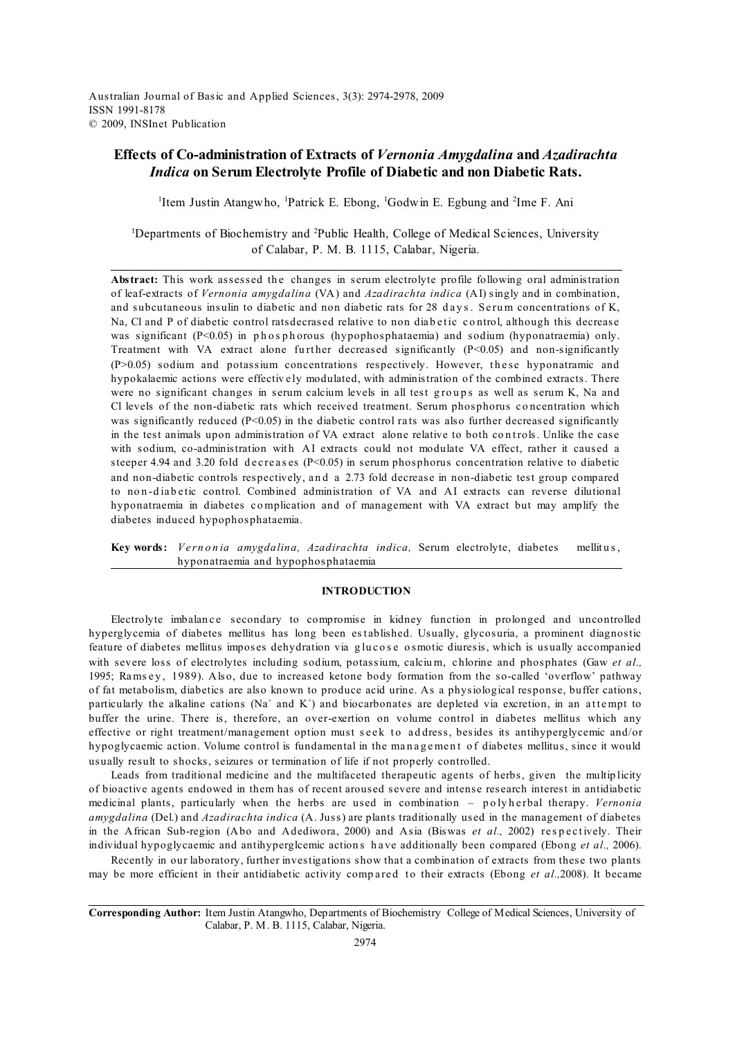Australian Journal of Basic and Applied Sciences, 3(3): 2974-2978, 2009 ISSN 1991-8178 © 2009, INSInet Publication

# **Effects of Co-administration of Extracts of** *Vernonia Amygdalina* **and** *Azadirachta Indica* **on Serum Electrolyte Profile of Diabetic and non Diabetic Rats.**

<sup>1</sup> Item Justin Atangwho, <sup>1</sup> Patrick E. Ebong, <sup>1</sup> Godwin E. Egbung and <sup>2</sup> Ime F. Ani

<sup>1</sup>Departments of Biochemistry and <sup>2</sup>Public Health, College of Medical Sciences, University of Calabar, P. M. B. 1115, Calabar, Nigeria.

Abstract: This work assessed the changes in serum electrolyte profile following oral administration of leaf-extracts of *Vernonia amygdalina* (VA) and *Azadirachta indica* (AI) singly and in combination, and subcutaneous insulin to diabetic and non diabetic rats for 28 days. Serum concentrations of K, Na, Cl and P of diabetic control ratsdecrased relative to non diabetic control, although this decrease was significant  $(P<0.05)$  in phosphorous (hypophosphataemia) and sodium (hyponatraemia) only. Treatment with VA extract alone further decreased significantly  $(P<0.05)$  and non-significantly  $(P>0.05)$  sodium and potassium concentrations respectively. However, these hyponatramic and hypokalaemic actions were effectively modulated, with administration of the combined extracts. There were no significant changes in serum calcium levels in all test groups as well as serum K, Na and Cl levels of the non-diabetic rats which received treatment. Serum phosphorus concentration which was significantly reduced ( $P<0.05$ ) in the diabetic control rats was also further decreased significantly in the test animals upon administration of VA extract alone relative to both controls. Unlike the case with sodium, co-administration with AI extracts could not modulate VA effect, rather it caused a steeper 4.94 and 3.20 fold decreases ( $P<0.05$ ) in serum phosphorus concentration relative to diabetic and non-diabetic controls respectively, a n d a 2.73 fold decrease in non-diabetic test group compared to non-diabetic control. Combined administration of VA and AI extracts can reverse dilutional hyponatraemia in diabetes c o mplication and of management with VA extract but may amplify the diabetes induced hypophosphataemia.

Key words: *Vernonia amygdalina, Azadirachta indica*, Serum electrolyte, diabetes mellitus, hyponatraemia and hypophosphataemia

# **INTRODUCTION**

Electrolyte imbalance secondary to compromise in kidney function in prolonged and uncontrolled hyperglycemia of diabetes mellitus has long been est ablished. Usually, glycosuria, a prominent diagnostic feature of diabetes mellitus imposes dehydration via glucose osmotic diuresis, which is usually accompanied with severe loss of electrolytes including sodium, potassium, calcium, chlorine and phosphates (Gaw *et al.,* 1995; Ramsey, 1989). Also, due to increased ketone body formation from the so-called 'overflow' pathway of fat metabolism, diabetics are also known to produce acid urine. As a physiological response, buffer cations, particularly the alkaline cations (Na<sup>+</sup> and K<sup>+</sup>) and biocarbonates are depleted via excretion, in an attempt to buffer the urine. There is, therefore, an over-exertion on volume control in diabetes mellitus which any effective or right treatment/management option must seek to address, besides its antihyperglycemic and/or hypoglycaemic action. Volume control is fundamental in the management of diabetes mellitus, since it would usually result to shocks, seizures or termination of life if not properly controlled.

Leads from traditional medicine and the multifaceted therapeutic agents of herbs, given the multip licity of bioactive agents endowed in them has of recent aroused severe and intense research interest in antidiabetic medicinal plants, particularly when the herbs are used in combination - polyherbal therapy. *Vernonia amygdalina* (Del.) and *Azadirachta indica* (A. Juss) are plants traditionally used in the management of diabetes in the African Sub-region (Abo and Adediwora, 2000) and Asia (Biswas *et al.*, 2002) respectively. Their individual hypoglycaemic and antihyperglcemic action s h a ve additionally been compared (Ebong *et al.,* 2006).

Recently in our laboratory, further investigations show that a combination of extracts from these two plants may be more efficient in their antidiabetic activity compared to their extracts (Ebong *et al.*,2008). It became

**Corresponding Author:** Item Justin Atangwho, Departments of Biochemistry College of Medical Sciences, University of Calabar, P. M. B. 1115, Calabar, Nigeria.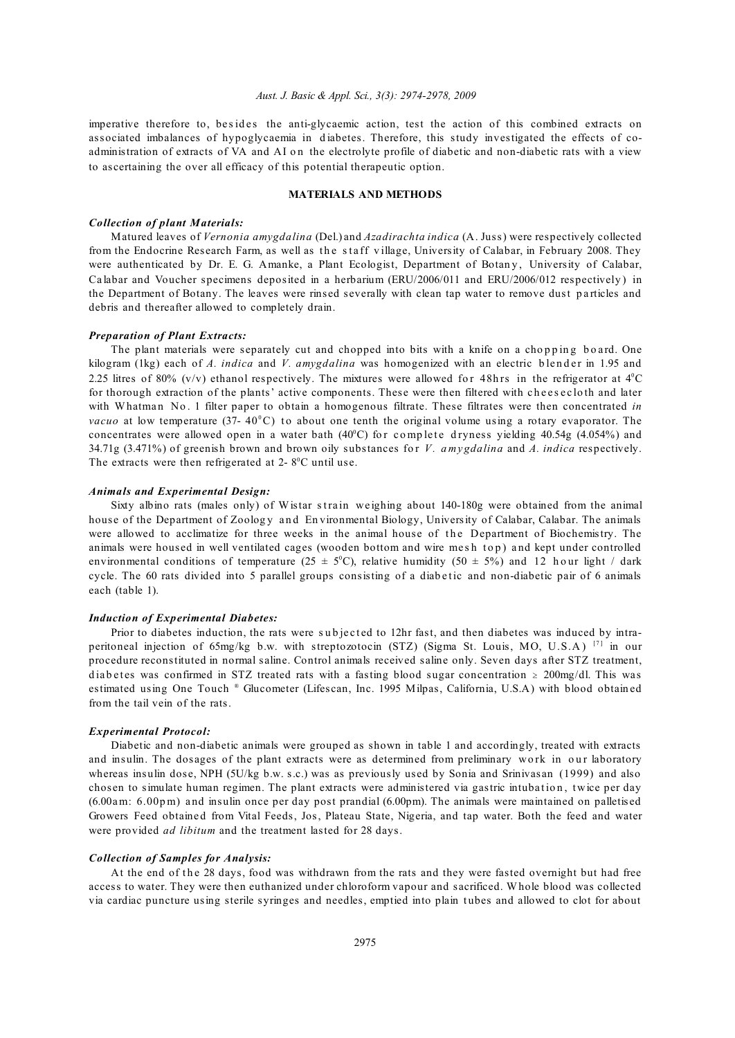#### *Aust. J. Basic & Appl. Sci., 3(3): 2974-2978, 2009*

imperative therefore to, besides the anti-glycaemic action, test the action of this combined extracts on associated imbalances of hypoglycaemia in diabetes. Therefore, this study investigated the effects of coadministration of extracts of VA and AI on the electrolyte profile of diabetic and non-diabetic rats with a view to ascertaining the over all efficacy of this potential therapeutic option.

# **MATERIALS AND METHODS**

## *Collection of plant Materials:*

Matured leaves of *Vernonia amygdalina* (Del.) and *Azadirachta indica* (A. Juss) were respectively collected from the Endocrine Research Farm, as well as the staff village, University of Calabar, in February 2008. They were authenticated by Dr. E. G. Amanke, a Plant Ecologist, Department of Botany, University of Calabar, Ca labar and Voucher specimens deposited in a herbarium (ERU/2006/011 and ERU/2006/012 respectively ) in the Department of Botany. The leaves were rinsed severally with clean tap water to remove dust particles and debris and thereafter allowed to completely drain.

#### *Preparation of Plant Extracts:*

The plant materials were separately cut and chopped into bits with a knife on a chopping board. One kilogram (1kg) each of *A. indica* and *V. amygdalina* was homogenized with an electric blender in 1.95 and 2.25 litres of 80% (v/v) ethanol respectively. The mixtures were allowed for 48hrs in the refrigerator at  $4^{\circ}$ C for thorough extraction of the plants' active components. These were then filtered with cheesecloth and later with Whatman No. 1 filter paper to obtain a homogenous filtrate. These filtrates were then concentrated *in vacuo* at low temperature (37- 40°C) to about one tenth the original volume using a rotary evaporator. The concentrates were allowed open in a water bath  $(40^{\circ}C)$  for complete dryness yielding 40.54g (4.054%) and 34.71g (3.471%) of greenish brown and brown oily substances fo r *V. a my gdalina* and *A. indica* respectively. The extracts were then refrigerated at  $2 - 8$ <sup>o</sup>C until use.

## *Animals and Experimental Design:*

Sixty albino rats (males only) of Wistar strain weighing about 140-180g were obtained from the animal house of the Department of Zoology and Environmental Biology, University of Calabar, Calabar. The animals were allowed to acclimatize for three weeks in the animal house of the Department of Biochemistry. The animals were housed in well ventilated cages (wooden bottom and wire mesh top) and kept under controlled environmental conditions of temperature (25  $\pm$  5°C), relative humidity (50  $\pm$  5%) and 12 h our light / dark cycle. The 60 rats divided into 5 parallel groups consisting of a diabetic and non-diabetic pair of 6 animals each (table 1).

### *Induction of Experimental Diabetes:*

Prior to diabetes induction, the rats were subjected to 12hr fast, and then diabetes was induced by intraperitoneal injection of 65mg/kg b.w. with streptozotocin (STZ) (Sigma St. Louis, MO, U.S.A) [7] in our procedure reconstituted in normal saline. Control animals received saline only. Seven days after STZ treatment, diabetes was confirmed in STZ treated rats with a fasting blood sugar concentration  $\geq 200$ mg/dl. This was estimated using One Touch ® Glucometer (Lifescan, Inc. 1995 Milpas, California, U.S.A) with blood obtained from the tail vein of the rats.

#### *Experimental Protocol:*

Diabetic and non-diabetic animals were grouped as shown in table 1 and accordingly, treated with extracts and insulin. The dosages of the plant extracts were as determined from preliminary work in our laboratory whereas insulin dose, NPH (5U/kg b.w. s.c.) was as previously used by Sonia and Srinivasan (1999) and also chosen to simulate human regimen. The plant extracts were administered via gastric intubation, twice per day (6.00am: 6.00p m) a nd insulin once per day post prandial (6.00pm). The animals were maintained on palletised Growers Feed obtained from Vital Feeds, Jos, Plateau State, Nigeria, and tap water. Both the feed and water were provided *ad libitum* and the treatment lasted for 28 days.

#### *Collection of Samples for Analysis:*

At the end of the 28 days, food was withdrawn from the rats and they were fasted overnight but had free access to water. They were then euthanized under chloroform vapour and sacrificed. Whole blood was collected via cardiac puncture using sterile syringes and needles, emptied into plain tubes and allowed to clot for about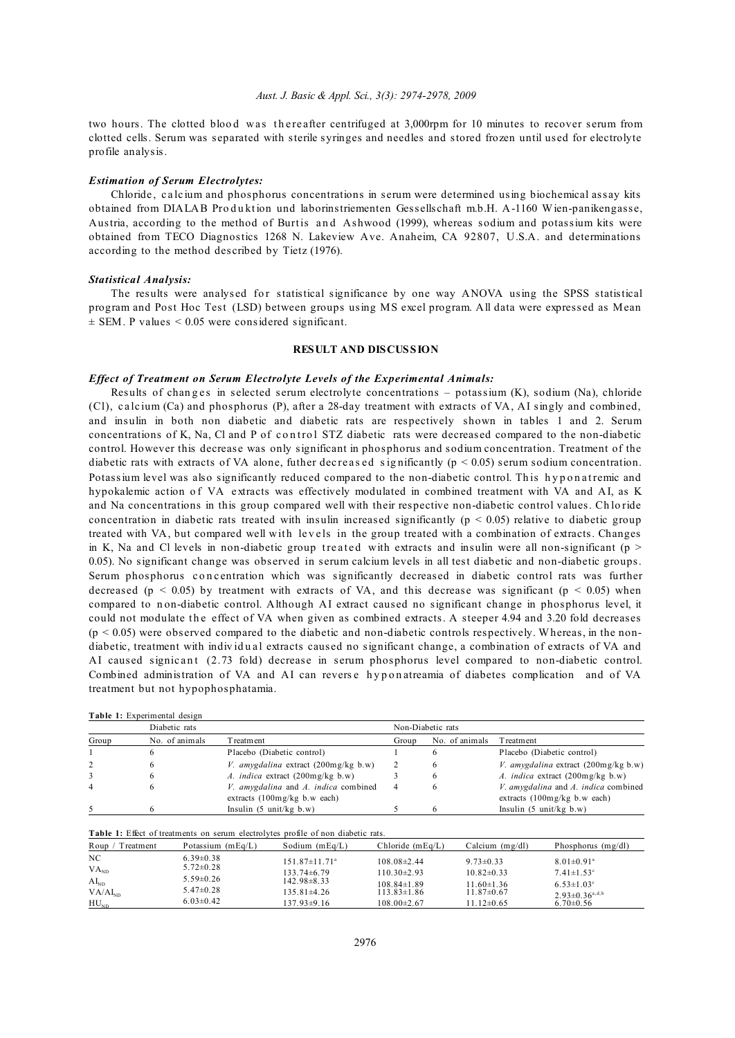two hours. The clotted blood was the reafter centrifuged at 3,000rpm for 10 minutes to recover serum from clotted cells. Serum was separated with sterile syringes and needles and stored frozen until used for electrolyte profile analysis.

### *Estimation of Serum Electrolytes:*

Chloride , c a lc ium and phosphorus concentrations in serum were determined using biochemical assay kits obtained from DIALAB Produktion und laborinstriementen Gessellschaft m.b.H. A-1160 Wien-panikengasse, Austria, according to the method of Burtis and Ashwood (1999), whereas sodium and potassium kits were obtained from TECO Diagnostics 1268 N. Lakeview Ave. Anaheim, CA 92807, U.S.A. and determinations according to the method described by Tietz (1976).

#### *Statistical Analysis:*

The results were analysed for statistical significance by one way ANOVA using the SPSS statistical program and Post Hoc Test (LSD) between groups using MS excel program. All data were expressed as Mean  $\pm$  SEM. P values  $\leq$  0.05 were considered significant.

# **RESULT AND DISCUSSION**

# *Effect of Treatment on Serum Electrolyte Levels of the Experimental Animals:*

Results of changes in selected serum electrolyte concentrations – potassium  $(K)$ , sodium  $(Na)$ , chloride (Cl), c a lc ium (Ca) and phosphorus (P), after a 28-day treatment with extracts of VA, AI singly and combined, and insulin in both non diabetic and diabetic rats are respectively shown in tables 1 and 2. Serum concentrations of K, Na, Cl and P of control STZ diabetic rats were decreased compared to the non-diabetic control. However this decrease was only significant in phosphorus and sodium concentration. Treatment of the diabetic rats with extracts of VA alone, futher decreased significantly ( $p < 0.05$ ) serum sodium concentration. Potassium level was also significantly reduced compared to the non-diabetic control. This hyponatremic and hypokalemic action of VA extracts was effectively modulated in combined treatment with VA and AI, as K and Na concentrations in this group compared well with their respective non-diabetic control values. Ch lo ride concentration in diabetic rats treated with insulin increased significantly ( $p \lt 0.05$ ) relative to diabetic group treated with VA, but compared well with levels in the group treated with a combination of extracts. Changes in K, Na and Cl levels in non-diabetic group treated with extracts and insulin were all non-significant ( $p >$ 0.05). No significant change was observed in serum calcium levels in all test diabetic and non-diabetic groups. Serum phosphorus concentration which was significantly decreased in diabetic control rats was further decreased ( $p < 0.05$ ) by treatment with extracts of VA, and this decrease was significant ( $p < 0.05$ ) when compared to non-diabetic control. Although AI extract caused no significant change in phosphorus level, it could not modulate the effect of VA when given as combined extracts. A steeper 4.94 and 3.20 fold decreases (p < 0.05) were observed compared to the diabetic and non-diabetic controls respectively. Whereas, in the nondiabetic, treatment with individual extracts caused no significant change, a combination of extracts of VA and AI caused signicant (2.73 fold) decrease in serum phosphorus level compared to non-diabetic control. Combined administration of VA and AI can reverse hyponatreamia of diabetes complication and of VA treatment but not hypophosphatamia.

|  | Table 1: Experimental design |  |
|--|------------------------------|--|
|  |                              |  |

|       | Diabetic rats  |                                         |       | Non-Diabetic rats |                                               |  |
|-------|----------------|-----------------------------------------|-------|-------------------|-----------------------------------------------|--|
| Group | No. of animals | T reatment                              | Group | No. of animals    | <b>T</b> reatment                             |  |
|       |                | Placebo (Diabetic control)              |       |                   | Placebo (Diabetic control)                    |  |
|       | 6              | V. amygdalina extract $(200mg/kg b.w)$  |       |                   | <i>V. amygdalina</i> extract $(200mg/kg b.w)$ |  |
|       | 6              | A. <i>indica</i> extract (200mg/kg b.w) |       | O                 | A. <i>indica</i> extract (200mg/kg b.w)       |  |
|       | 6              | V. amygdalina and A. indica combined    |       |                   | V. amygdalina and A. indica combined          |  |
|       |                | extracts $(100mg/kg$ b.w each)          |       |                   | extracts $(100mg/kg$ b.w each)                |  |
|       |                | Insulin $(5 \text{ unit/kg b.w})$       |       |                   | Insulin $(5 \text{ unit/kg b.w})$             |  |

| <b>Table 1:</b> Effect of treatments on serum electrolytes profile of non diabetic rats. |                     |                  |                    |                   |                                  |
|------------------------------------------------------------------------------------------|---------------------|------------------|--------------------|-------------------|----------------------------------|
| Roup<br>T reatment                                                                       | Potassium $(mEq/L)$ | Sodium $(mEq/L)$ | Chloride $(mEq/L)$ | Calcium $(mg/dl)$ | Phosphorus $(mg/dl)$             |
| NC                                                                                       | $6.39\pm0.38$       | 151.87±11.71ª    | $108.08 \pm 2.44$  | $9.73 \pm 0.33$   | $8.01 \pm 0.91$ <sup>a</sup>     |
| VA <sub>ND</sub>                                                                         | $5.72 \pm 0.28$     | 133.74±6.79      | $110.30 \pm 2.93$  | $10.82 \pm 0.33$  | $7.41 \pm 1.53$ °                |
| $AI_{ND}$                                                                                | $5.59 \pm 0.26$     | 142.98±8.33      | $108.84 \pm 1.89$  | $11.60 \pm 1.36$  | $6.53 \pm 1.03^{\circ}$          |
| VA/AI <sub>ND</sub>                                                                      | $5.47\pm0.28$       | 135.81±4.26      | $113.83 \pm 1.86$  | $11.87\pm0.67$    | $2.93 \pm 0.36$ <sup>a,d,b</sup> |
| HU <sub>ND</sub>                                                                         | $6.03 \pm 0.42$     | 137.93±9.16      | $108.00 \pm 2.67$  | $11.12 \pm 0.65$  | $6.70 \pm 0.56$                  |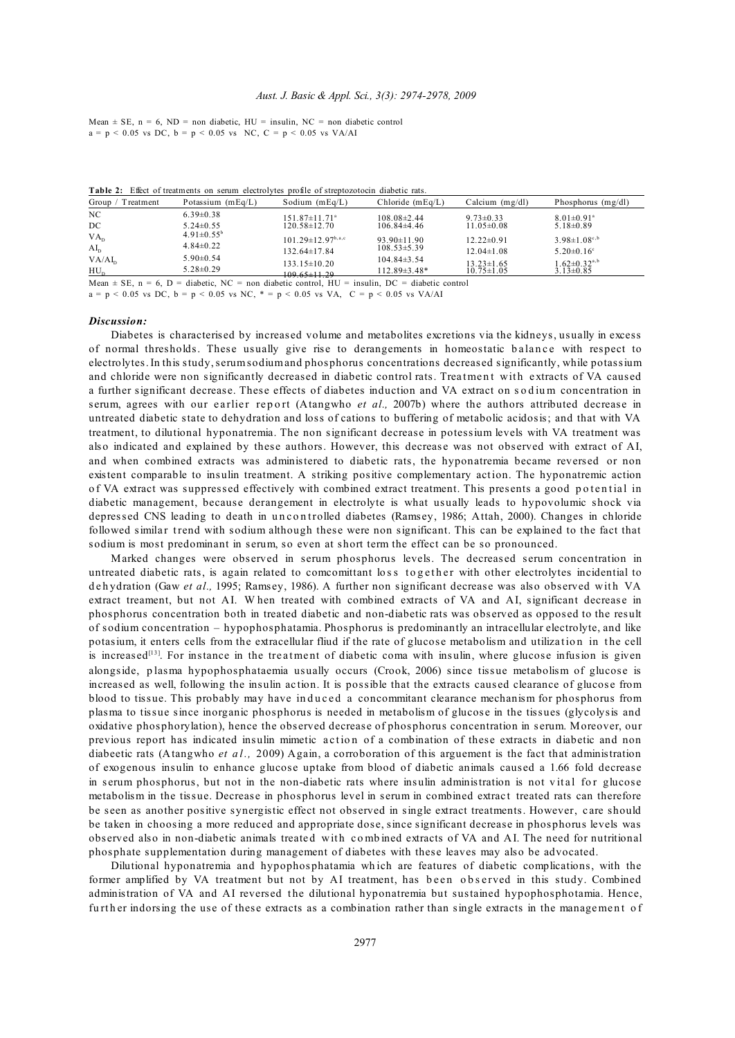Mean  $\pm$  SE, n = 6, ND = non diabetic, HU = insulin, NC = non diabetic control  $a = p < 0.05$  vs DC,  $b = p < 0.05$  vs NC,  $C = p < 0.05$  vs VA/AI

| <b>Table 2:</b> Elect of treatments on serum electrolytes brolle of strebtozolocin diabetic rats.  |                         |                                                       |                    |                                      |                                                 |  |
|----------------------------------------------------------------------------------------------------|-------------------------|-------------------------------------------------------|--------------------|--------------------------------------|-------------------------------------------------|--|
| Group.<br>Treatment                                                                                | Potassium $(mEq/L)$     | Sodium $(mEq/L)$                                      | $Chloride$ (mEq/L) | Calcium $(mg/dl)$                    | Phosphorus $(mg/dl)$                            |  |
| NC.                                                                                                | $6.39\pm0.38$           | $151.87 \pm 11.71$ <sup>a</sup>                       | $108.08 \pm 2.44$  | $9.73 \pm 0.33$                      | $8.01 \pm 0.91$ <sup>a</sup>                    |  |
| DC.                                                                                                | $5.24 \pm 0.55$         | 120.58±12.70                                          | $106.84\pm4.46$    | $11.05 \pm 0.08$                     | $5.18 \pm 0.89$                                 |  |
| VA <sub>p</sub>                                                                                    | $4.91 \pm 0.55^{\circ}$ | $101.29 \pm 12.97^{\mathrm{b},\mathrm{a},\mathrm{c}}$ | $93.90 \pm 11.90$  | $12.22 \pm 0.91$                     | $3.98 \pm 1.08^{c,b}$                           |  |
| $AI_n$                                                                                             | $4.84 \pm 0.22$         | $132.64 \pm 17.84$                                    | $108.53 \pm 5.39$  | $12.04 \pm 1.08$                     | $5.20 \pm 0.16$ °                               |  |
| VA/AI <sub>n</sub>                                                                                 | $5.90\pm0.54$           |                                                       | $104.84\pm3.54$    |                                      |                                                 |  |
| $HU_{n}$                                                                                           | $5.28 \pm 0.29$         | $133.15 \pm 10.20$<br>$109.65 \pm 11.29$              | $112.89\pm3.48*$   | $13.23 \pm 1.65$<br>$10.75 \pm 1.05$ | $1.62 \pm 0.32$ <sup>a,b</sup><br>$3.13\pm0.85$ |  |
| Mean $\pm$ SE, n = 6, D = diabetic, NC = non diabetic control, HU = insulin, DC = diabetic control |                         |                                                       |                    |                                      |                                                 |  |

**Table 2:** Effect of treatments on serum electrolytes profile of streptozotocin diabetic rats.

 $a = p < 0.05$  vs DC,  $b = p < 0.05$  vs NC,  $* = p < 0.05$  vs VA,  $C = p < 0.05$  vs VA/AI

#### *Discussion:*

Diabetes is characterised by increased volume and metabolites excretions via the kidneys, usually in excess of normal thresholds. These usually give rise to derangements in homeostatic balance with respect to electrolytes. In this study, serum sodium and phosphorus concentrations decreased significantly, while potassium and chloride were non significantly decreased in diabetic control rats. Treatment with extracts of VA caused a further significant decrease. These effects of diabetes induction and VA extract on sodium concentration in serum, agrees with our earlier report (Atangwho *et al.*, 2007b) where the authors attributed decrease in untreated diabetic state to dehydration and loss of cations to buffering of metabolic acidosis; and that with VA treatment, to dilutional hyponatremia. The non significant decrease in potessium levels with VA treatment was also indicated and explained by these authors. However, this decrease was not observed with extract of AI, and when combined extracts was administered to diabetic rats, the hyponatremia became reversed or non existent comparable to insulin treatment. A striking positive complementary action. The hyponatremic action of VA extract was suppressed effectively with combined extract treatment. This presents a good potential in diabetic management, because derangement in electrolyte is what usually leads to hypovolumic shock via depressed CNS leading to death in uncontrolled diabetes (Ramsey, 1986; Attah, 2000). Changes in chloride followed similar trend with sodium although these were non significant. This can be explained to the fact that sodium is most predominant in serum, so even at short term the effect can be so pronounced.

Marked changes were observed in serum phosphorus levels. The decreased serum concentration in untreated diabetic rats, is again related to comcomittant loss together with other electrolytes incidential to dehydration (Gaw et al., 1995; Ramsey, 1986). A further non significant decrease was also observed with VA extract treament, but not AI. W hen treated with combined extracts of VA and AI, significant decrease in phosphorus concentration both in treated diabetic and non-diabetic rats was observed as opposed to the result of sodium concentration – hypophosphatamia. Phosphorus is predominantly an intracellular electrolyte, and like potasium, it enters cells from the extracellular fliud if the rate of glucose metabolism and utilization in the cell is increased<sup>[13]</sup>. For instance in the treatment of diabetic coma with insulin, where glucose infusion is given alongside, p lasma hypophosphataemia usually occurs (Crook, 2006) since tissue metabolism of glucose is increased as well, following the insulin ac tion. It is possible that the extracts caused clearance of glucose from blood to tissue. This probably may have induced a concommitant clearance mechanism for phosphorus from plasma to tissue since inorganic phosphorus is needed in metabolism of glucose in the tissues (glycolysis and oxidative phosphorylation), hence the observed decrease of phosphorus concentration in serum. Moreover, our previous report has indicated insulin mimetic action of a combination of these extracts in diabetic and non diabeetic rats (Atangwho *et al.,* 2009) Again, a corroboration of this arguement is the fact that administration of exogenous insulin to enhance glucose uptake from blood of diabetic animals caused a 1.66 fold decrease in serum phosphorus, but not in the non-diabetic rats where insulin administration is not vital for glucose metabolism in the tissue. Decrease in phosphorus level in serum in combined extrac t treated rats can therefore be seen as another positive synergistic effect not observed in single extract treatments. However, c are should be taken in choosing a more reduced and appropriate dose, since significant decrease in phosphorus levels was observed also in non-diabetic animals treated with combined extracts of VA and AI. The need for nutritional phosphate supplementation during management of diabetes with these leaves may also be advocated.

Dilutional hyponatremia and hypophosphatamia wh ich are features of diabetic complications, with the former amplified by VA treatment but not by AI treatment, has been observed in this study. Combined administration of VA and AI reversed the dilutional hyponatremia but sustained hypophosphotamia. Hence, further indorsing the use of these extracts as a combination rather than single extracts in the management of